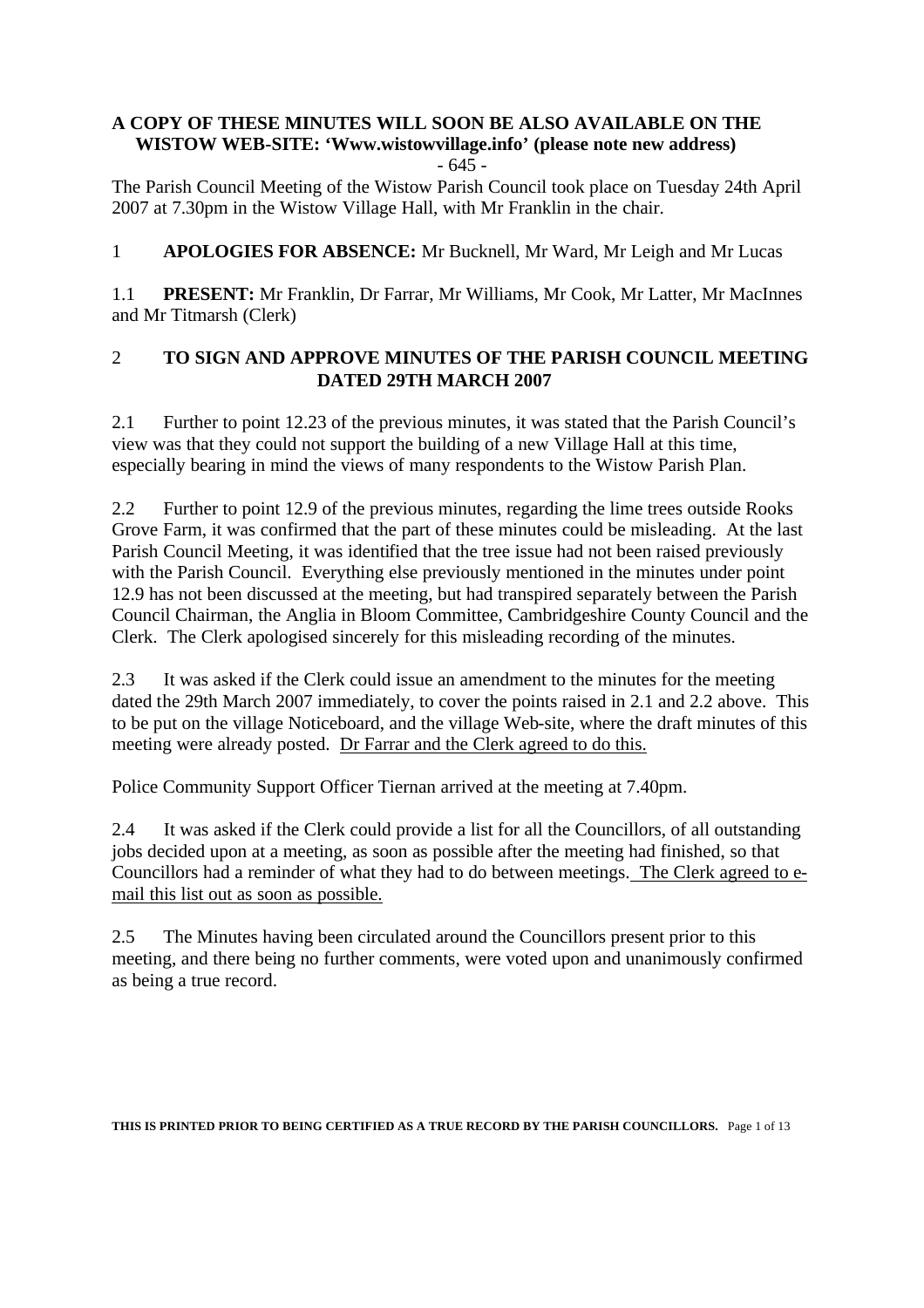# **A COPY OF THESE MINUTES WILL SOON BE ALSO AVAILABLE ON THE WISTOW WEB-SITE: 'Www.wistowvillage.info' (please note new address)**

- 645 -

The Parish Council Meeting of the Wistow Parish Council took place on Tuesday 24th April 2007 at 7.30pm in the Wistow Village Hall, with Mr Franklin in the chair.

1 **APOLOGIES FOR ABSENCE:** Mr Bucknell, Mr Ward, Mr Leigh and Mr Lucas

1.1 **PRESENT:** Mr Franklin, Dr Farrar, Mr Williams, Mr Cook, Mr Latter, Mr MacInnes and Mr Titmarsh (Clerk)

### 2 **TO SIGN AND APPROVE MINUTES OF THE PARISH COUNCIL MEETING DATED 29TH MARCH 2007**

2.1 Further to point 12.23 of the previous minutes, it was stated that the Parish Council's view was that they could not support the building of a new Village Hall at this time, especially bearing in mind the views of many respondents to the Wistow Parish Plan.

2.2 Further to point 12.9 of the previous minutes, regarding the lime trees outside Rooks Grove Farm, it was confirmed that the part of these minutes could be misleading. At the last Parish Council Meeting, it was identified that the tree issue had not been raised previously with the Parish Council. Everything else previously mentioned in the minutes under point 12.9 has not been discussed at the meeting, but had transpired separately between the Parish Council Chairman, the Anglia in Bloom Committee, Cambridgeshire County Council and the Clerk. The Clerk apologised sincerely for this misleading recording of the minutes.

2.3 It was asked if the Clerk could issue an amendment to the minutes for the meeting dated the 29th March 2007 immediately, to cover the points raised in 2.1 and 2.2 above. This to be put on the village Noticeboard, and the village Web-site, where the draft minutes of this meeting were already posted. Dr Farrar and the Clerk agreed to do this.

Police Community Support Officer Tiernan arrived at the meeting at 7.40pm.

2.4 It was asked if the Clerk could provide a list for all the Councillors, of all outstanding jobs decided upon at a meeting, as soon as possible after the meeting had finished, so that Councillors had a reminder of what they had to do between meetings. The Clerk agreed to email this list out as soon as possible.

2.5 The Minutes having been circulated around the Councillors present prior to this meeting, and there being no further comments, were voted upon and unanimously confirmed as being a true record.

**THIS IS PRINTED PRIOR TO BEING CERTIFIED AS A TRUE RECORD BY THE PARISH COUNCILLORS.** Page 1 of 13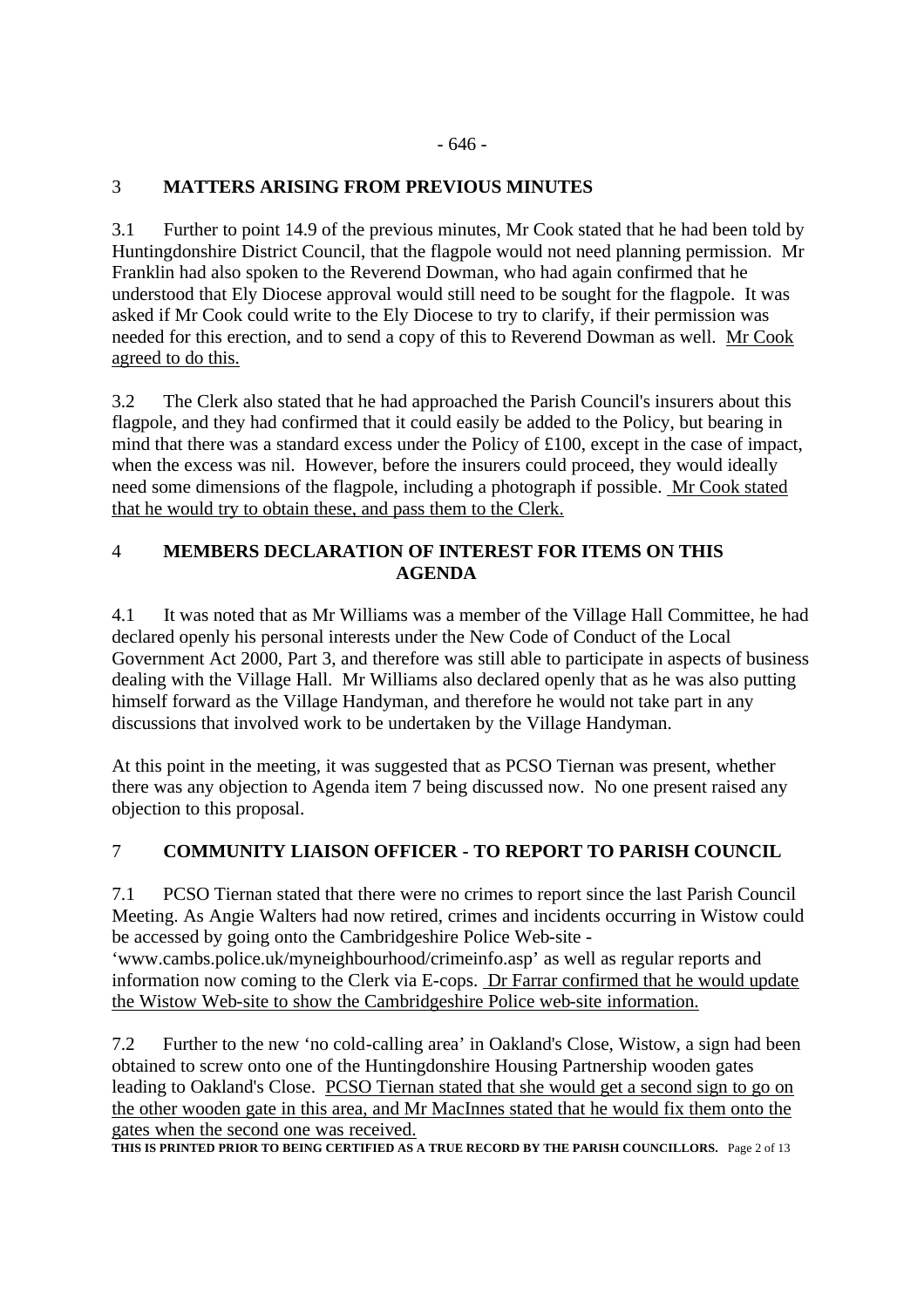#### - 646 -

# 3 **MATTERS ARISING FROM PREVIOUS MINUTES**

3.1 Further to point 14.9 of the previous minutes, Mr Cook stated that he had been told by Huntingdonshire District Council, that the flagpole would not need planning permission. Mr Franklin had also spoken to the Reverend Dowman, who had again confirmed that he understood that Ely Diocese approval would still need to be sought for the flagpole. It was asked if Mr Cook could write to the Ely Diocese to try to clarify, if their permission was needed for this erection, and to send a copy of this to Reverend Dowman as well. Mr Cook agreed to do this.

3.2 The Clerk also stated that he had approached the Parish Council's insurers about this flagpole, and they had confirmed that it could easily be added to the Policy, but bearing in mind that there was a standard excess under the Policy of £100, except in the case of impact, when the excess was nil. However, before the insurers could proceed, they would ideally need some dimensions of the flagpole, including a photograph if possible. Mr Cook stated that he would try to obtain these, and pass them to the Clerk.

### 4 **MEMBERS DECLARATION OF INTEREST FOR ITEMS ON THIS AGENDA**

4.1 It was noted that as Mr Williams was a member of the Village Hall Committee, he had declared openly his personal interests under the New Code of Conduct of the Local Government Act 2000, Part 3, and therefore was still able to participate in aspects of business dealing with the Village Hall. Mr Williams also declared openly that as he was also putting himself forward as the Village Handyman, and therefore he would not take part in any discussions that involved work to be undertaken by the Village Handyman.

At this point in the meeting, it was suggested that as PCSO Tiernan was present, whether there was any objection to Agenda item 7 being discussed now. No one present raised any objection to this proposal.

### 7 **COMMUNITY LIAISON OFFICER - TO REPORT TO PARISH COUNCIL**

7.1 PCSO Tiernan stated that there were no crimes to report since the last Parish Council Meeting. As Angie Walters had now retired, crimes and incidents occurring in Wistow could be accessed by going onto the Cambridgeshire Police Web-site -

'www.cambs.police.uk/myneighbourhood/crimeinfo.asp' as well as regular reports and information now coming to the Clerk via E-cops. Dr Farrar confirmed that he would update the Wistow Web-site to show the Cambridgeshire Police web-site information.

7.2 Further to the new 'no cold-calling area' in Oakland's Close, Wistow, a sign had been obtained to screw onto one of the Huntingdonshire Housing Partnership wooden gates leading to Oakland's Close. PCSO Tiernan stated that she would get a second sign to go on the other wooden gate in this area, and Mr MacInnes stated that he would fix them onto the gates when the second one was received.

**THIS IS PRINTED PRIOR TO BEING CERTIFIED AS A TRUE RECORD BY THE PARISH COUNCILLORS.** Page 2 of 13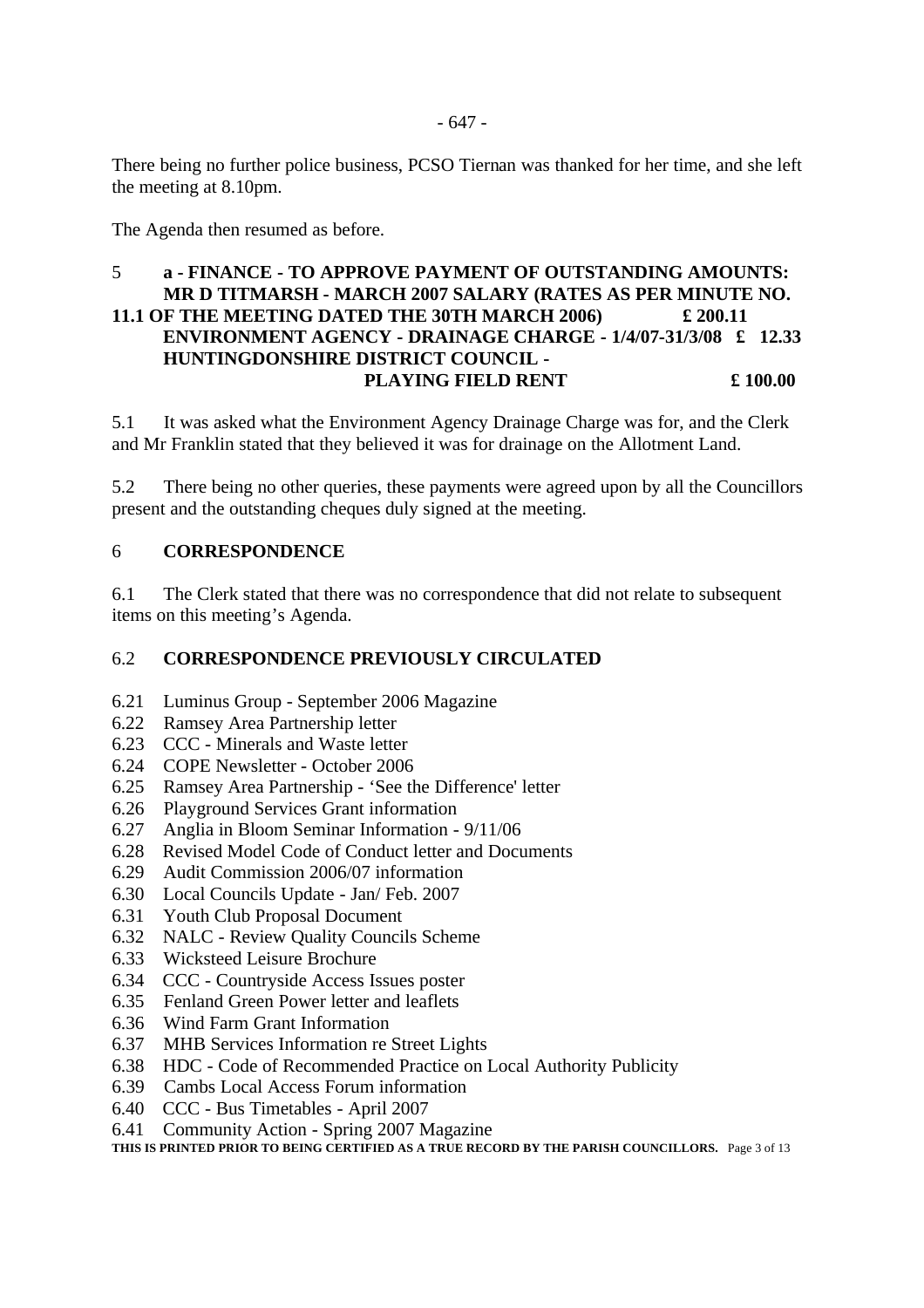There being no further police business, PCSO Tiernan was thanked for her time, and she left the meeting at 8.10pm.

The Agenda then resumed as before.

### 5 **a - FINANCE - TO APPROVE PAYMENT OF OUTSTANDING AMOUNTS: MR D TITMARSH - MARCH 2007 SALARY (RATES AS PER MINUTE NO. 11.1 OF THE MEETING DATED THE 30TH MARCH 2006) £ 200.11 ENVIRONMENT AGENCY - DRAINAGE CHARGE - 1/4/07-31/3/08 £ 12.33 HUNTINGDONSHIRE DISTRICT COUNCIL - PLAYING FIELD RENT**  $\qquad \qquad \text{\pounds} 100.00$

5.1 It was asked what the Environment Agency Drainage Charge was for, and the Clerk and Mr Franklin stated that they believed it was for drainage on the Allotment Land.

5.2 There being no other queries, these payments were agreed upon by all the Councillors present and the outstanding cheques duly signed at the meeting.

### 6 **CORRESPONDENCE**

6.1 The Clerk stated that there was no correspondence that did not relate to subsequent items on this meeting's Agenda.

### 6.2 **CORRESPONDENCE PREVIOUSLY CIRCULATED**

- 6.21 Luminus Group September 2006 Magazine
- 6.22 Ramsey Area Partnership letter
- 6.23 CCC Minerals and Waste letter
- 6.24 COPE Newsletter October 2006
- 6.25 Ramsey Area Partnership 'See the Difference' letter
- 6.26 Playground Services Grant information
- 6.27 Anglia in Bloom Seminar Information 9/11/06
- 6.28 Revised Model Code of Conduct letter and Documents
- 6.29 Audit Commission 2006/07 information
- 6.30 Local Councils Update Jan/ Feb. 2007
- 6.31 Youth Club Proposal Document
- 6.32 NALC Review Quality Councils Scheme
- 6.33 Wicksteed Leisure Brochure
- 6.34 CCC Countryside Access Issues poster
- 6.35 Fenland Green Power letter and leaflets
- 6.36 Wind Farm Grant Information
- 6.37 MHB Services Information re Street Lights
- 6.38 HDC Code of Recommended Practice on Local Authority Publicity
- 6.39 Cambs Local Access Forum information
- 6.40 CCC Bus Timetables April 2007
- 6.41 Community Action Spring 2007 Magazine

**THIS IS PRINTED PRIOR TO BEING CERTIFIED AS A TRUE RECORD BY THE PARISH COUNCILLORS.** Page 3 of 13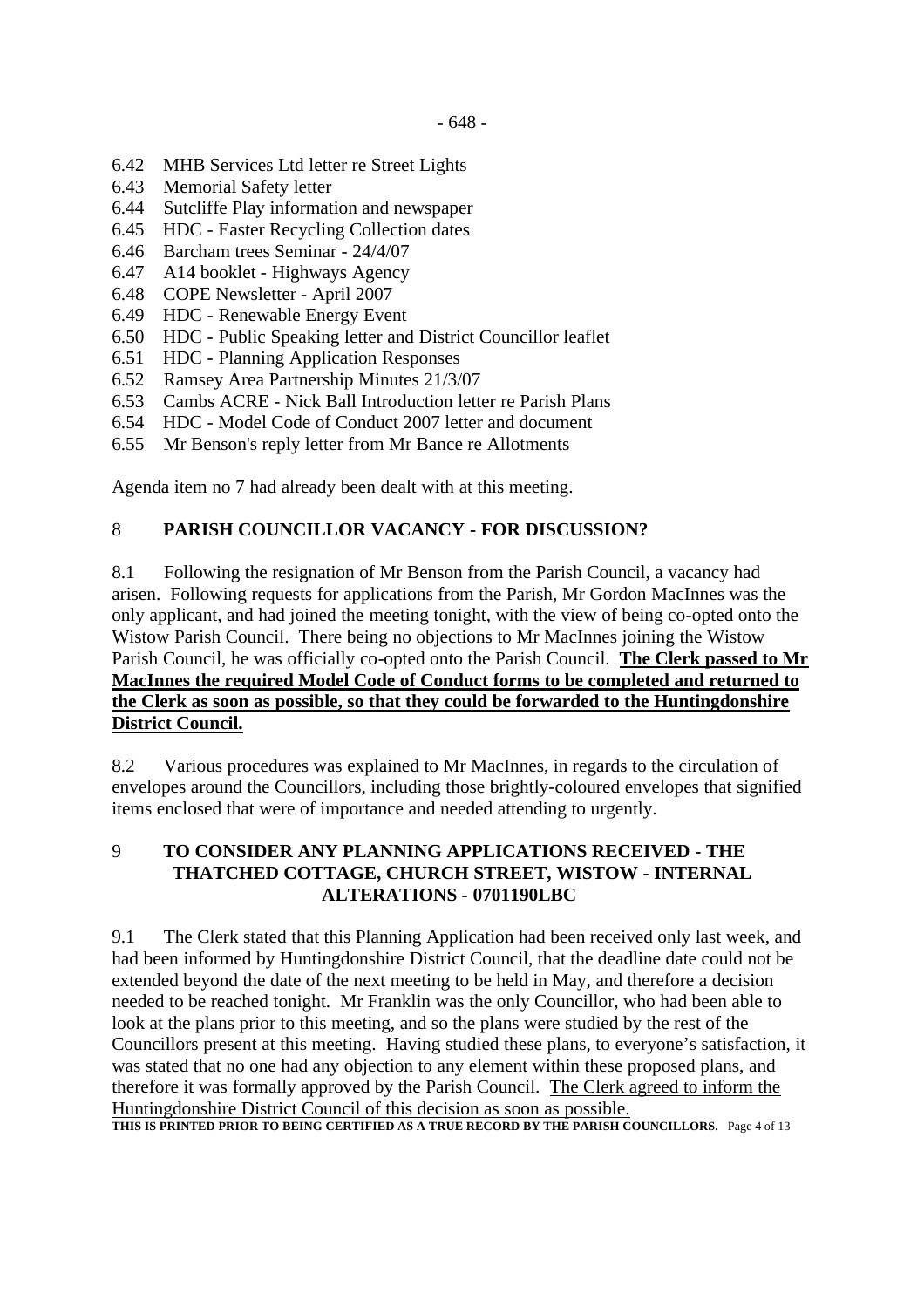- 6.42 MHB Services Ltd letter re Street Lights
- 6.43 Memorial Safety letter
- 6.44 Sutcliffe Play information and newspaper
- 6.45 HDC Easter Recycling Collection dates
- 6.46 Barcham trees Seminar 24/4/07
- 6.47 A14 booklet Highways Agency
- 6.48 COPE Newsletter April 2007
- 6.49 HDC Renewable Energy Event
- 6.50 HDC Public Speaking letter and District Councillor leaflet
- 6.51 HDC Planning Application Responses
- 6.52 Ramsey Area Partnership Minutes 21/3/07
- 6.53 Cambs ACRE Nick Ball Introduction letter re Parish Plans
- 6.54 HDC Model Code of Conduct 2007 letter and document
- 6.55 Mr Benson's reply letter from Mr Bance re Allotments

Agenda item no 7 had already been dealt with at this meeting.

### 8 **PARISH COUNCILLOR VACANCY - FOR DISCUSSION?**

8.1 Following the resignation of Mr Benson from the Parish Council, a vacancy had arisen. Following requests for applications from the Parish, Mr Gordon MacInnes was the only applicant, and had joined the meeting tonight, with the view of being co-opted onto the Wistow Parish Council. There being no objections to Mr MacInnes joining the Wistow Parish Council, he was officially co-opted onto the Parish Council. **The Clerk passed to Mr MacInnes the required Model Code of Conduct forms to be completed and returned to the Clerk as soon as possible, so that they could be forwarded to the Huntingdonshire District Council.** 

8.2 Various procedures was explained to Mr MacInnes, in regards to the circulation of envelopes around the Councillors, including those brightly-coloured envelopes that signified items enclosed that were of importance and needed attending to urgently.

### 9 **TO CONSIDER ANY PLANNING APPLICATIONS RECEIVED - THE THATCHED COTTAGE, CHURCH STREET, WISTOW - INTERNAL ALTERATIONS - 0701190LBC**

9.1 The Clerk stated that this Planning Application had been received only last week, and had been informed by Huntingdonshire District Council, that the deadline date could not be extended beyond the date of the next meeting to be held in May, and therefore a decision needed to be reached tonight. Mr Franklin was the only Councillor, who had been able to look at the plans prior to this meeting, and so the plans were studied by the rest of the Councillors present at this meeting. Having studied these plans, to everyone's satisfaction, it was stated that no one had any objection to any element within these proposed plans, and therefore it was formally approved by the Parish Council. The Clerk agreed to inform the Huntingdonshire District Council of this decision as soon as possible. THIS IS PRINTED PRIOR TO BEING CERTIFIED AS A TRUE RECORD BY THE PARISH COUNCILLORS. Page 4 of 13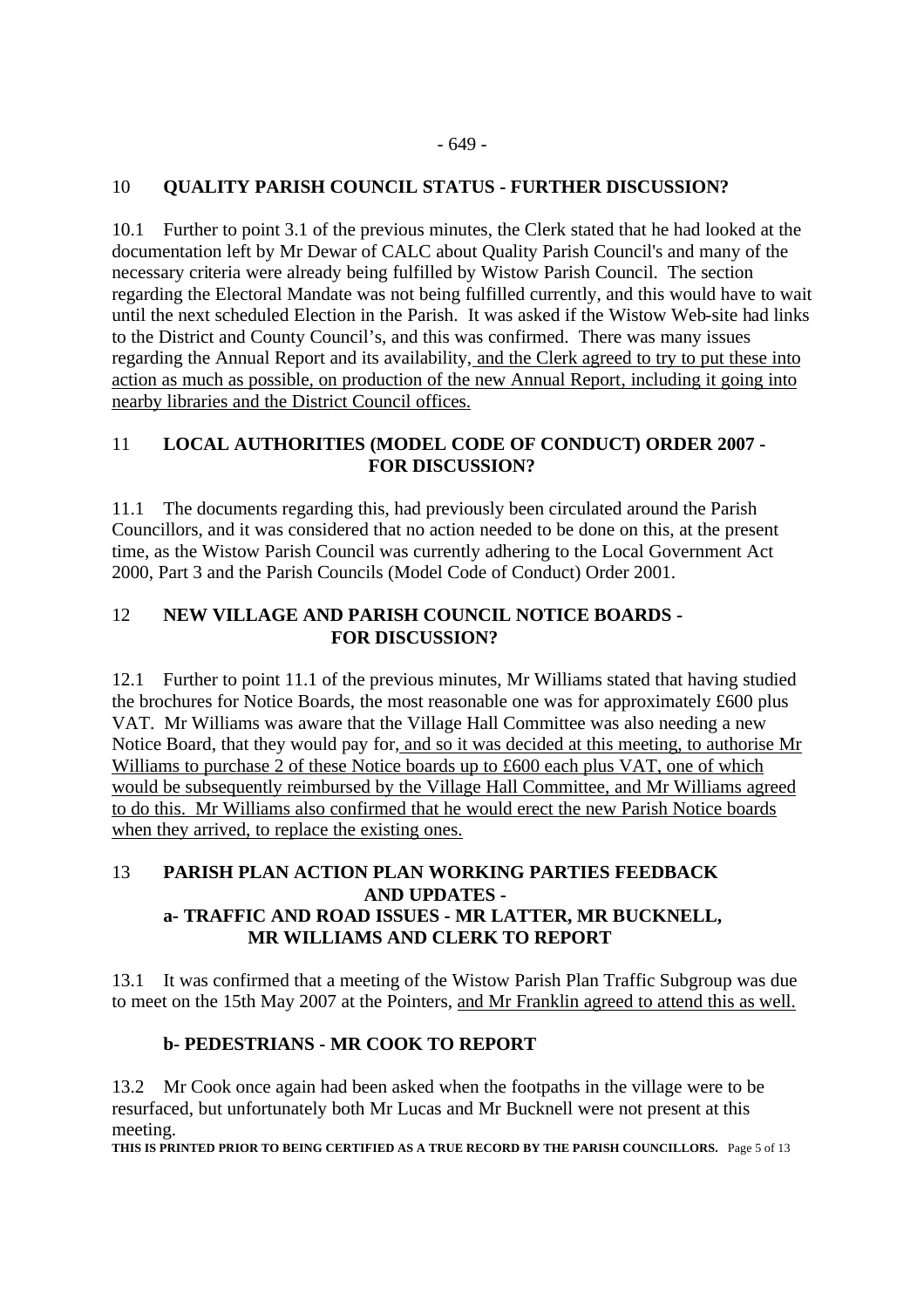### 10 **QUALITY PARISH COUNCIL STATUS - FURTHER DISCUSSION?**

10.1 Further to point 3.1 of the previous minutes, the Clerk stated that he had looked at the documentation left by Mr Dewar of CALC about Quality Parish Council's and many of the necessary criteria were already being fulfilled by Wistow Parish Council. The section regarding the Electoral Mandate was not being fulfilled currently, and this would have to wait until the next scheduled Election in the Parish. It was asked if the Wistow Web-site had links to the District and County Council's, and this was confirmed. There was many issues regarding the Annual Report and its availability, and the Clerk agreed to try to put these into action as much as possible, on production of the new Annual Report, including it going into nearby libraries and the District Council offices.

### 11 **LOCAL AUTHORITIES (MODEL CODE OF CONDUCT) ORDER 2007 - FOR DISCUSSION?**

11.1 The documents regarding this, had previously been circulated around the Parish Councillors, and it was considered that no action needed to be done on this, at the present time, as the Wistow Parish Council was currently adhering to the Local Government Act 2000, Part 3 and the Parish Councils (Model Code of Conduct) Order 2001.

### 12 **NEW VILLAGE AND PARISH COUNCIL NOTICE BOARDS - FOR DISCUSSION?**

12.1 Further to point 11.1 of the previous minutes, Mr Williams stated that having studied the brochures for Notice Boards, the most reasonable one was for approximately £600 plus VAT. Mr Williams was aware that the Village Hall Committee was also needing a new Notice Board, that they would pay for, and so it was decided at this meeting, to authorise Mr Williams to purchase 2 of these Notice boards up to £600 each plus VAT, one of which would be subsequently reimbursed by the Village Hall Committee, and Mr Williams agreed to do this. Mr Williams also confirmed that he would erect the new Parish Notice boards when they arrived, to replace the existing ones.

### 13 **PARISH PLAN ACTION PLAN WORKING PARTIES FEEDBACK AND UPDATES a- TRAFFIC AND ROAD ISSUES - MR LATTER, MR BUCKNELL, MR WILLIAMS AND CLERK TO REPORT**

13.1 It was confirmed that a meeting of the Wistow Parish Plan Traffic Subgroup was due to meet on the 15th May 2007 at the Pointers, and Mr Franklin agreed to attend this as well.

# **b- PEDESTRIANS - MR COOK TO REPORT**

13.2 Mr Cook once again had been asked when the footpaths in the village were to be resurfaced, but unfortunately both Mr Lucas and Mr Bucknell were not present at this meeting.

**THIS IS PRINTED PRIOR TO BEING CERTIFIED AS A TRUE RECORD BY THE PARISH COUNCILLORS.** Page 5 of 13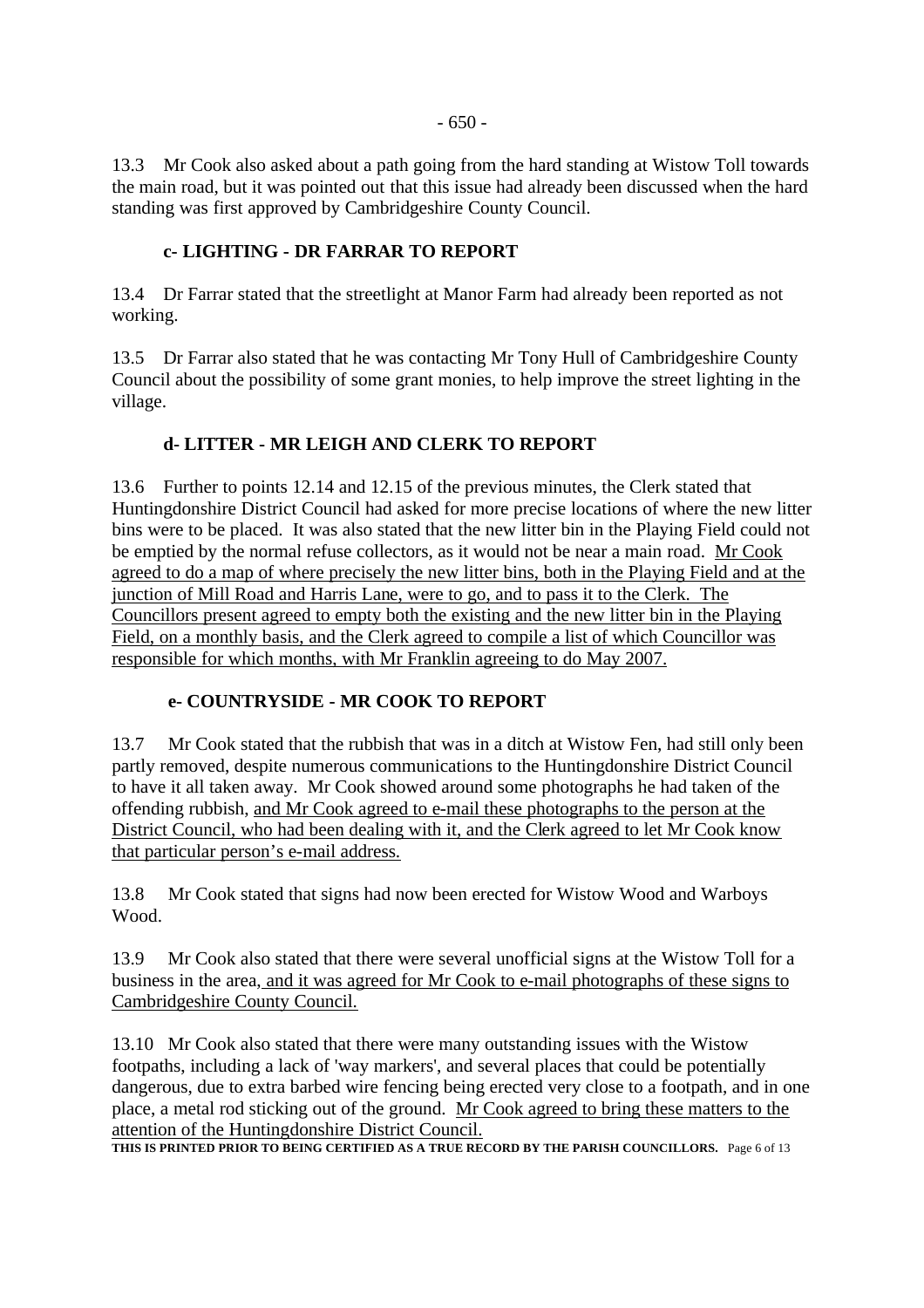13.3 Mr Cook also asked about a path going from the hard standing at Wistow Toll towards the main road, but it was pointed out that this issue had already been discussed when the hard standing was first approved by Cambridgeshire County Council.

### **c- LIGHTING - DR FARRAR TO REPORT**

13.4 Dr Farrar stated that the streetlight at Manor Farm had already been reported as not working.

13.5 Dr Farrar also stated that he was contacting Mr Tony Hull of Cambridgeshire County Council about the possibility of some grant monies, to help improve the street lighting in the village.

### **d- LITTER - MR LEIGH AND CLERK TO REPORT**

13.6 Further to points 12.14 and 12.15 of the previous minutes, the Clerk stated that Huntingdonshire District Council had asked for more precise locations of where the new litter bins were to be placed. It was also stated that the new litter bin in the Playing Field could not be emptied by the normal refuse collectors, as it would not be near a main road. Mr Cook agreed to do a map of where precisely the new litter bins, both in the Playing Field and at the junction of Mill Road and Harris Lane, were to go, and to pass it to the Clerk. The Councillors present agreed to empty both the existing and the new litter bin in the Playing Field, on a monthly basis, and the Clerk agreed to compile a list of which Councillor was responsible for which months, with Mr Franklin agreeing to do May 2007.

#### **e- COUNTRYSIDE - MR COOK TO REPORT**

13.7 Mr Cook stated that the rubbish that was in a ditch at Wistow Fen, had still only been partly removed, despite numerous communications to the Huntingdonshire District Council to have it all taken away. Mr Cook showed around some photographs he had taken of the offending rubbish, and Mr Cook agreed to e-mail these photographs to the person at the District Council, who had been dealing with it, and the Clerk agreed to let Mr Cook know that particular person's e-mail address.

13.8 Mr Cook stated that signs had now been erected for Wistow Wood and Warboys Wood.

13.9 Mr Cook also stated that there were several unofficial signs at the Wistow Toll for a business in the area, and it was agreed for Mr Cook to e-mail photographs of these signs to Cambridgeshire County Council.

13.10 Mr Cook also stated that there were many outstanding issues with the Wistow footpaths, including a lack of 'way markers', and several places that could be potentially dangerous, due to extra barbed wire fencing being erected very close to a footpath, and in one place, a metal rod sticking out of the ground. Mr Cook agreed to bring these matters to the attention of the Huntingdonshire District Council.

**THIS IS PRINTED PRIOR TO BEING CERTIFIED AS A TRUE RECORD BY THE PARISH COUNCILLORS.** Page 6 of 13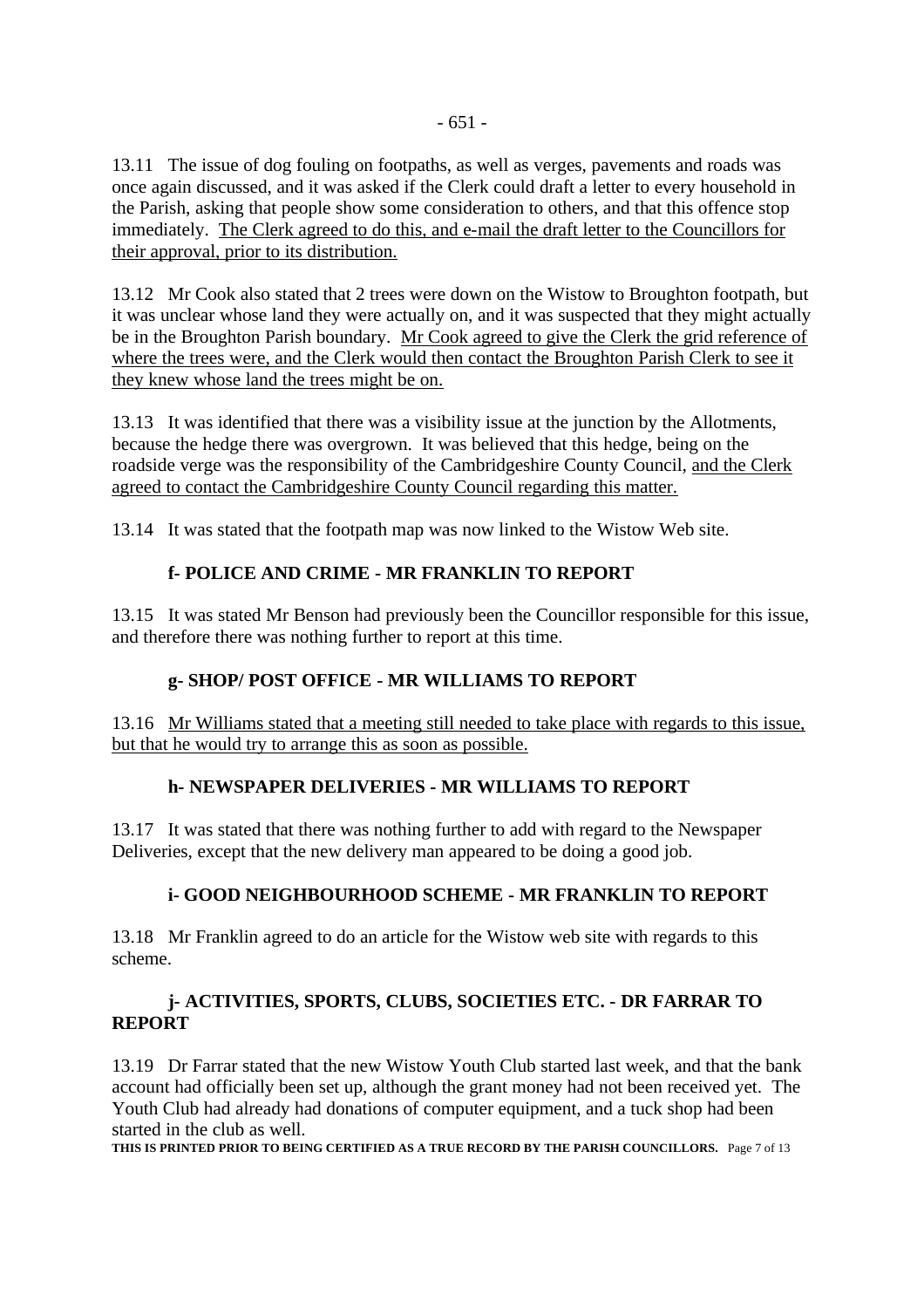13.11 The issue of dog fouling on footpaths, as well as verges, pavements and roads was once again discussed, and it was asked if the Clerk could draft a letter to every household in the Parish, asking that people show some consideration to others, and that this offence stop immediately. The Clerk agreed to do this, and e-mail the draft letter to the Councillors for their approval, prior to its distribution.

13.12 Mr Cook also stated that 2 trees were down on the Wistow to Broughton footpath, but it was unclear whose land they were actually on, and it was suspected that they might actually be in the Broughton Parish boundary. Mr Cook agreed to give the Clerk the grid reference of where the trees were, and the Clerk would then contact the Broughton Parish Clerk to see it they knew whose land the trees might be on.

13.13 It was identified that there was a visibility issue at the junction by the Allotments, because the hedge there was overgrown. It was believed that this hedge, being on the roadside verge was the responsibility of the Cambridgeshire County Council, and the Clerk agreed to contact the Cambridgeshire County Council regarding this matter.

13.14 It was stated that the footpath map was now linked to the Wistow Web site.

# **f- POLICE AND CRIME - MR FRANKLIN TO REPORT**

13.15 It was stated Mr Benson had previously been the Councillor responsible for this issue, and therefore there was nothing further to report at this time.

### **g- SHOP/ POST OFFICE - MR WILLIAMS TO REPORT**

13.16 Mr Williams stated that a meeting still needed to take place with regards to this issue, but that he would try to arrange this as soon as possible.

### **h- NEWSPAPER DELIVERIES - MR WILLIAMS TO REPORT**

13.17 It was stated that there was nothing further to add with regard to the Newspaper Deliveries, except that the new delivery man appeared to be doing a good job.

### **i- GOOD NEIGHBOURHOOD SCHEME - MR FRANKLIN TO REPORT**

13.18 Mr Franklin agreed to do an article for the Wistow web site with regards to this scheme.

### **j- ACTIVITIES, SPORTS, CLUBS, SOCIETIES ETC. - DR FARRAR TO REPORT**

13.19 Dr Farrar stated that the new Wistow Youth Club started last week, and that the bank account had officially been set up, although the grant money had not been received yet. The Youth Club had already had donations of computer equipment, and a tuck shop had been started in the club as well.

**THIS IS PRINTED PRIOR TO BEING CERTIFIED AS A TRUE RECORD BY THE PARISH COUNCILLORS.** Page 7 of 13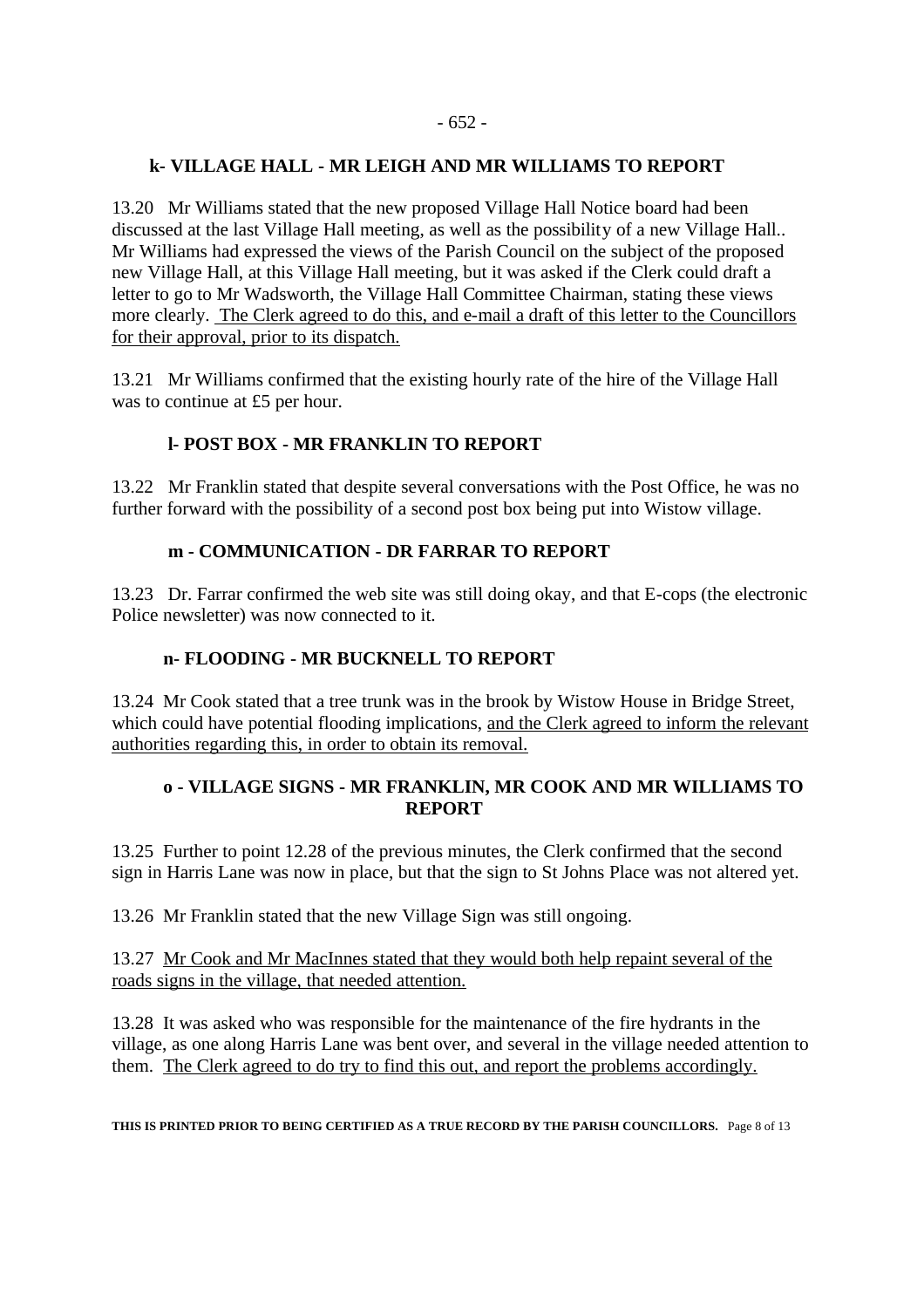#### **k- VILLAGE HALL - MR LEIGH AND MR WILLIAMS TO REPORT**

13.20 Mr Williams stated that the new proposed Village Hall Notice board had been discussed at the last Village Hall meeting, as well as the possibility of a new Village Hall.. Mr Williams had expressed the views of the Parish Council on the subject of the proposed new Village Hall, at this Village Hall meeting, but it was asked if the Clerk could draft a letter to go to Mr Wadsworth, the Village Hall Committee Chairman, stating these views more clearly. The Clerk agreed to do this, and e-mail a draft of this letter to the Councillors for their approval, prior to its dispatch.

13.21 Mr Williams confirmed that the existing hourly rate of the hire of the Village Hall was to continue at £5 per hour.

### **l- POST BOX - MR FRANKLIN TO REPORT**

13.22 Mr Franklin stated that despite several conversations with the Post Office, he was no further forward with the possibility of a second post box being put into Wistow village.

### **m - COMMUNICATION - DR FARRAR TO REPORT**

13.23 Dr. Farrar confirmed the web site was still doing okay, and that E-cops (the electronic Police newsletter) was now connected to it.

#### **n- FLOODING - MR BUCKNELL TO REPORT**

13.24 Mr Cook stated that a tree trunk was in the brook by Wistow House in Bridge Street, which could have potential flooding implications, and the Clerk agreed to inform the relevant authorities regarding this, in order to obtain its removal.

### **o - VILLAGE SIGNS - MR FRANKLIN, MR COOK AND MR WILLIAMS TO REPORT**

13.25 Further to point 12.28 of the previous minutes, the Clerk confirmed that the second sign in Harris Lane was now in place, but that the sign to St Johns Place was not altered yet.

13.26 Mr Franklin stated that the new Village Sign was still ongoing.

13.27 Mr Cook and Mr MacInnes stated that they would both help repaint several of the roads signs in the village, that needed attention.

13.28 It was asked who was responsible for the maintenance of the fire hydrants in the village, as one along Harris Lane was bent over, and several in the village needed attention to them. The Clerk agreed to do try to find this out, and report the problems accordingly.

**THIS IS PRINTED PRIOR TO BEING CERTIFIED AS A TRUE RECORD BY THE PARISH COUNCILLORS.** Page 8 of 13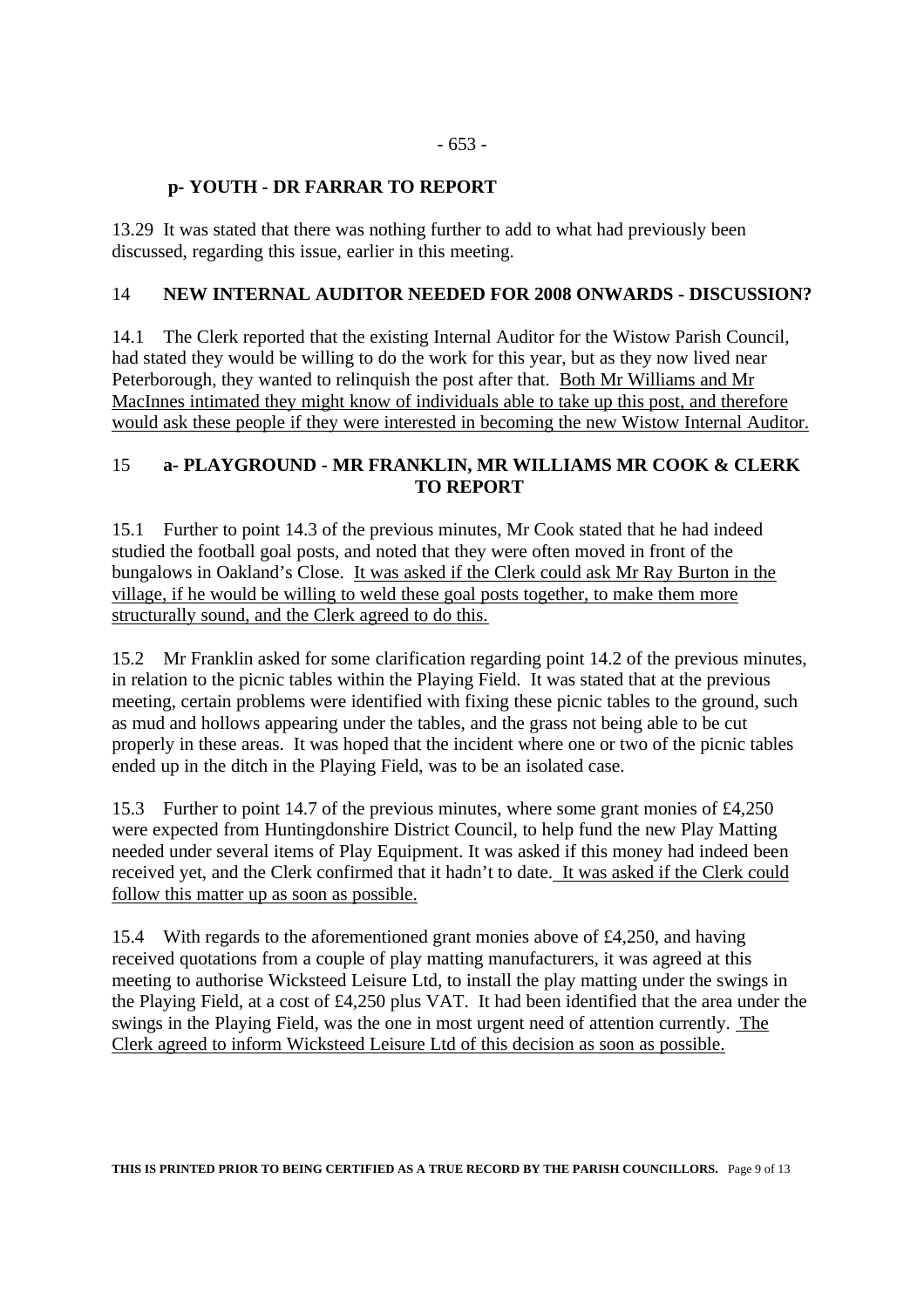# **p- YOUTH - DR FARRAR TO REPORT**

13.29 It was stated that there was nothing further to add to what had previously been discussed, regarding this issue, earlier in this meeting.

### 14 **NEW INTERNAL AUDITOR NEEDED FOR 2008 ONWARDS - DISCUSSION?**

14.1 The Clerk reported that the existing Internal Auditor for the Wistow Parish Council, had stated they would be willing to do the work for this year, but as they now lived near Peterborough, they wanted to relinquish the post after that. Both Mr Williams and Mr MacInnes intimated they might know of individuals able to take up this post, and therefore would ask these people if they were interested in becoming the new Wistow Internal Auditor.

### 15 **a- PLAYGROUND - MR FRANKLIN, MR WILLIAMS MR COOK & CLERK TO REPORT**

15.1 Further to point 14.3 of the previous minutes, Mr Cook stated that he had indeed studied the football goal posts, and noted that they were often moved in front of the bungalows in Oakland's Close. It was asked if the Clerk could ask Mr Ray Burton in the village, if he would be willing to weld these goal posts together, to make them more structurally sound, and the Clerk agreed to do this.

15.2 Mr Franklin asked for some clarification regarding point 14.2 of the previous minutes, in relation to the picnic tables within the Playing Field. It was stated that at the previous meeting, certain problems were identified with fixing these picnic tables to the ground, such as mud and hollows appearing under the tables, and the grass not being able to be cut properly in these areas. It was hoped that the incident where one or two of the picnic tables ended up in the ditch in the Playing Field, was to be an isolated case.

15.3 Further to point 14.7 of the previous minutes, where some grant monies of £4,250 were expected from Huntingdonshire District Council, to help fund the new Play Matting needed under several items of Play Equipment. It was asked if this money had indeed been received yet, and the Clerk confirmed that it hadn't to date. It was asked if the Clerk could follow this matter up as soon as possible.

15.4 With regards to the aforementioned grant monies above of £4,250, and having received quotations from a couple of play matting manufacturers, it was agreed at this meeting to authorise Wicksteed Leisure Ltd, to install the play matting under the swings in the Playing Field, at a cost of £4,250 plus VAT. It had been identified that the area under the swings in the Playing Field, was the one in most urgent need of attention currently. The Clerk agreed to inform Wicksteed Leisure Ltd of this decision as soon as possible.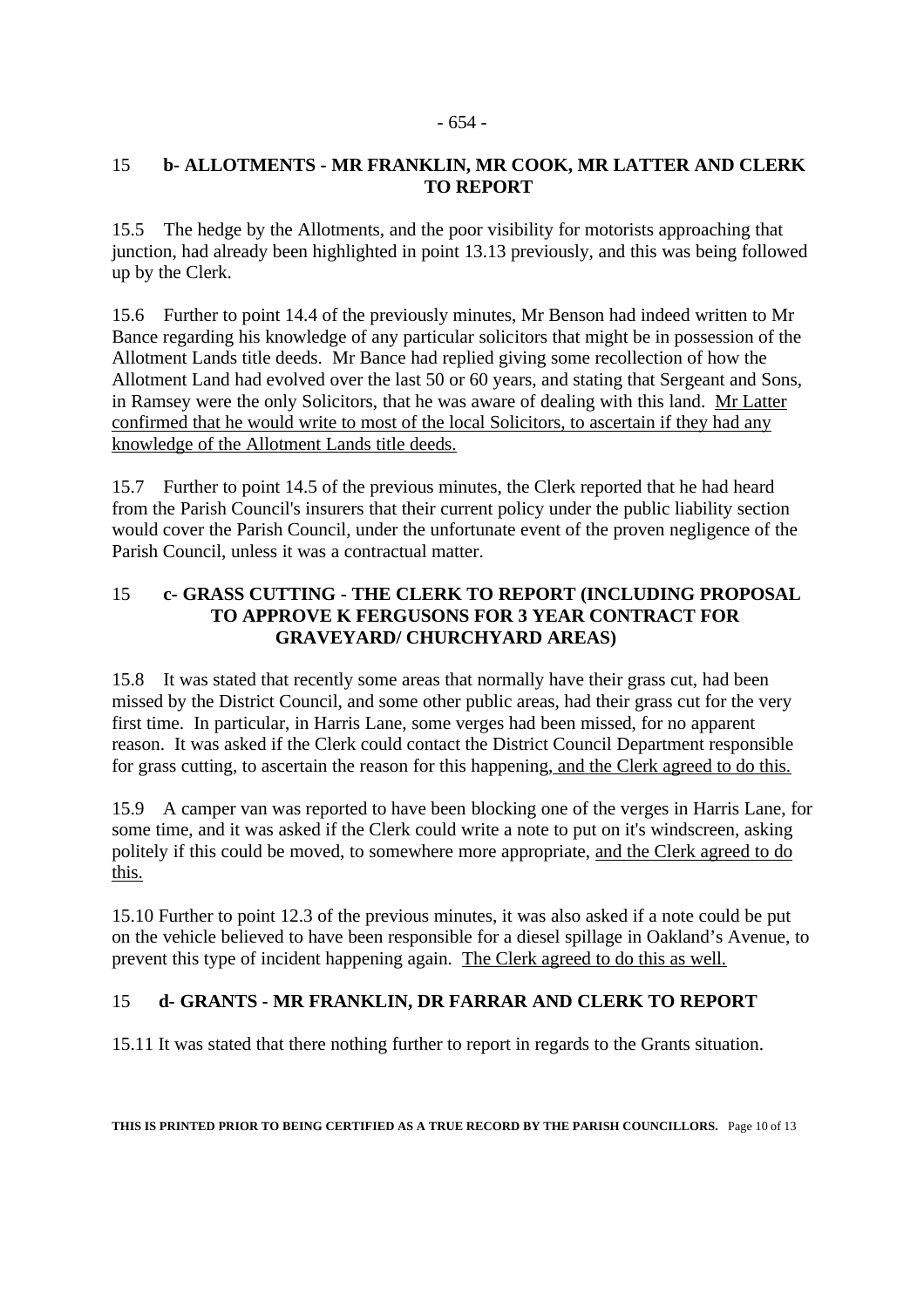#### - 654 -

### 15 **b- ALLOTMENTS - MR FRANKLIN, MR COOK, MR LATTER AND CLERK TO REPORT**

15.5 The hedge by the Allotments, and the poor visibility for motorists approaching that junction, had already been highlighted in point 13.13 previously, and this was being followed up by the Clerk.

15.6 Further to point 14.4 of the previously minutes, Mr Benson had indeed written to Mr Bance regarding his knowledge of any particular solicitors that might be in possession of the Allotment Lands title deeds. Mr Bance had replied giving some recollection of how the Allotment Land had evolved over the last 50 or 60 years, and stating that Sergeant and Sons, in Ramsey were the only Solicitors, that he was aware of dealing with this land. Mr Latter confirmed that he would write to most of the local Solicitors, to ascertain if they had any knowledge of the Allotment Lands title deeds.

15.7 Further to point 14.5 of the previous minutes, the Clerk reported that he had heard from the Parish Council's insurers that their current policy under the public liability section would cover the Parish Council, under the unfortunate event of the proven negligence of the Parish Council, unless it was a contractual matter.

### 15 **c- GRASS CUTTING - THE CLERK TO REPORT (INCLUDING PROPOSAL TO APPROVE K FERGUSONS FOR 3 YEAR CONTRACT FOR GRAVEYARD/ CHURCHYARD AREAS)**

15.8 It was stated that recently some areas that normally have their grass cut, had been missed by the District Council, and some other public areas, had their grass cut for the very first time. In particular, in Harris Lane, some verges had been missed, for no apparent reason. It was asked if the Clerk could contact the District Council Department responsible for grass cutting, to ascertain the reason for this happening, and the Clerk agreed to do this.

15.9 A camper van was reported to have been blocking one of the verges in Harris Lane, for some time, and it was asked if the Clerk could write a note to put on it's windscreen, asking politely if this could be moved, to somewhere more appropriate, and the Clerk agreed to do this.

15.10 Further to point 12.3 of the previous minutes, it was also asked if a note could be put on the vehicle believed to have been responsible for a diesel spillage in Oakland's Avenue, to prevent this type of incident happening again. The Clerk agreed to do this as well.

### 15 **d- GRANTS - MR FRANKLIN, DR FARRAR AND CLERK TO REPORT**

15.11 It was stated that there nothing further to report in regards to the Grants situation.

**THIS IS PRINTED PRIOR TO BEING CERTIFIED AS A TRUE RECORD BY THE PARISH COUNCILLORS.** Page 10 of 13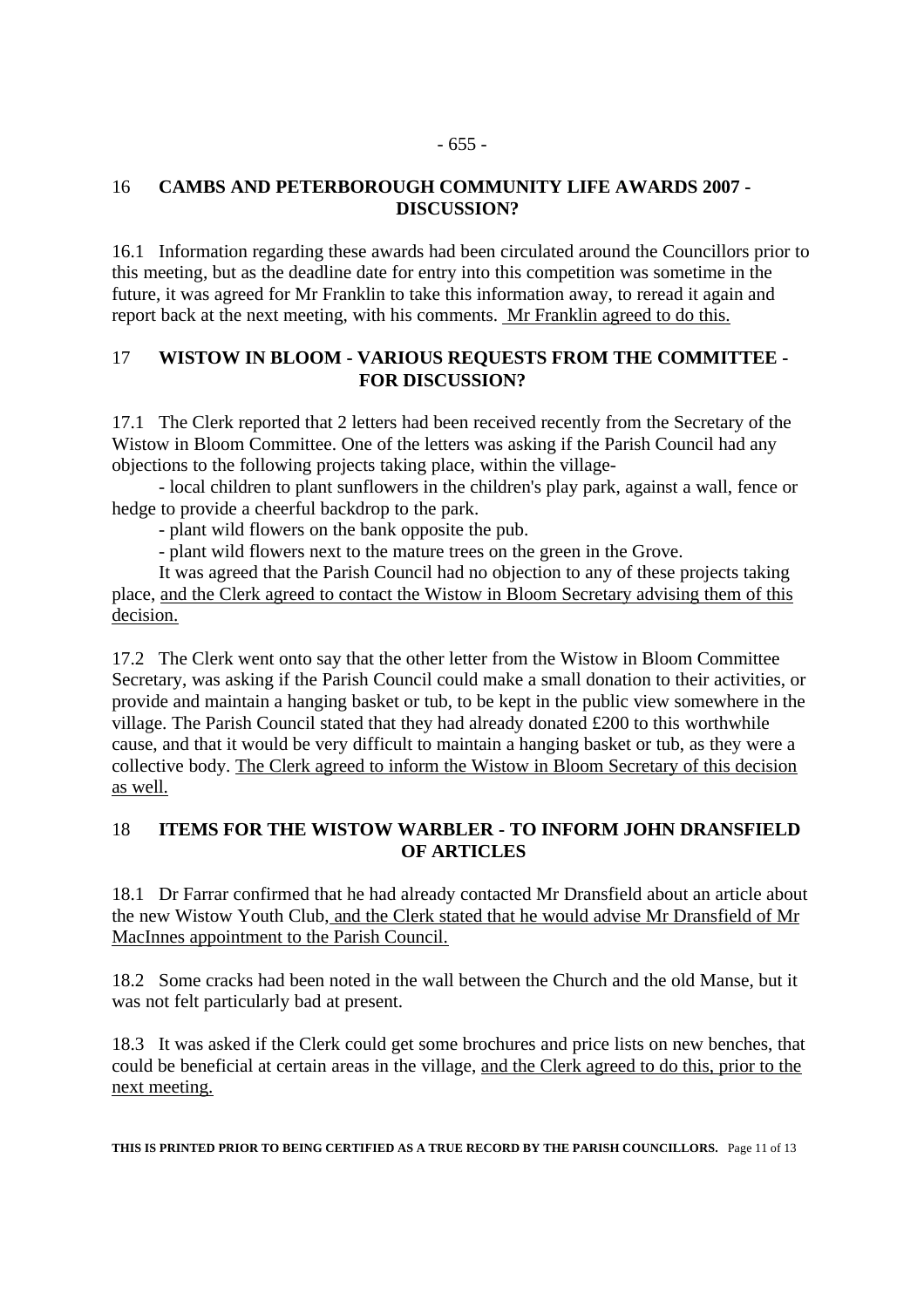#### - 655 -

### 16 **CAMBS AND PETERBOROUGH COMMUNITY LIFE AWARDS 2007 - DISCUSSION?**

16.1 Information regarding these awards had been circulated around the Councillors prior to this meeting, but as the deadline date for entry into this competition was sometime in the future, it was agreed for Mr Franklin to take this information away, to reread it again and report back at the next meeting, with his comments. Mr Franklin agreed to do this.

### 17 **WISTOW IN BLOOM - VARIOUS REQUESTS FROM THE COMMITTEE - FOR DISCUSSION?**

17.1 The Clerk reported that 2 letters had been received recently from the Secretary of the Wistow in Bloom Committee. One of the letters was asking if the Parish Council had any objections to the following projects taking place, within the village-

 - local children to plant sunflowers in the children's play park, against a wall, fence or hedge to provide a cheerful backdrop to the park.

- plant wild flowers on the bank opposite the pub.

- plant wild flowers next to the mature trees on the green in the Grove.

 It was agreed that the Parish Council had no objection to any of these projects taking place, and the Clerk agreed to contact the Wistow in Bloom Secretary advising them of this decision.

17.2 The Clerk went onto say that the other letter from the Wistow in Bloom Committee Secretary, was asking if the Parish Council could make a small donation to their activities, or provide and maintain a hanging basket or tub, to be kept in the public view somewhere in the village. The Parish Council stated that they had already donated £200 to this worthwhile cause, and that it would be very difficult to maintain a hanging basket or tub, as they were a collective body. The Clerk agreed to inform the Wistow in Bloom Secretary of this decision as well.

### 18 **ITEMS FOR THE WISTOW WARBLER - TO INFORM JOHN DRANSFIELD OF ARTICLES**

18.1 Dr Farrar confirmed that he had already contacted Mr Dransfield about an article about the new Wistow Youth Club, and the Clerk stated that he would advise Mr Dransfield of Mr MacInnes appointment to the Parish Council.

18.2 Some cracks had been noted in the wall between the Church and the old Manse, but it was not felt particularly bad at present.

18.3 It was asked if the Clerk could get some brochures and price lists on new benches, that could be beneficial at certain areas in the village, and the Clerk agreed to do this, prior to the next meeting.

**THIS IS PRINTED PRIOR TO BEING CERTIFIED AS A TRUE RECORD BY THE PARISH COUNCILLORS.** Page 11 of 13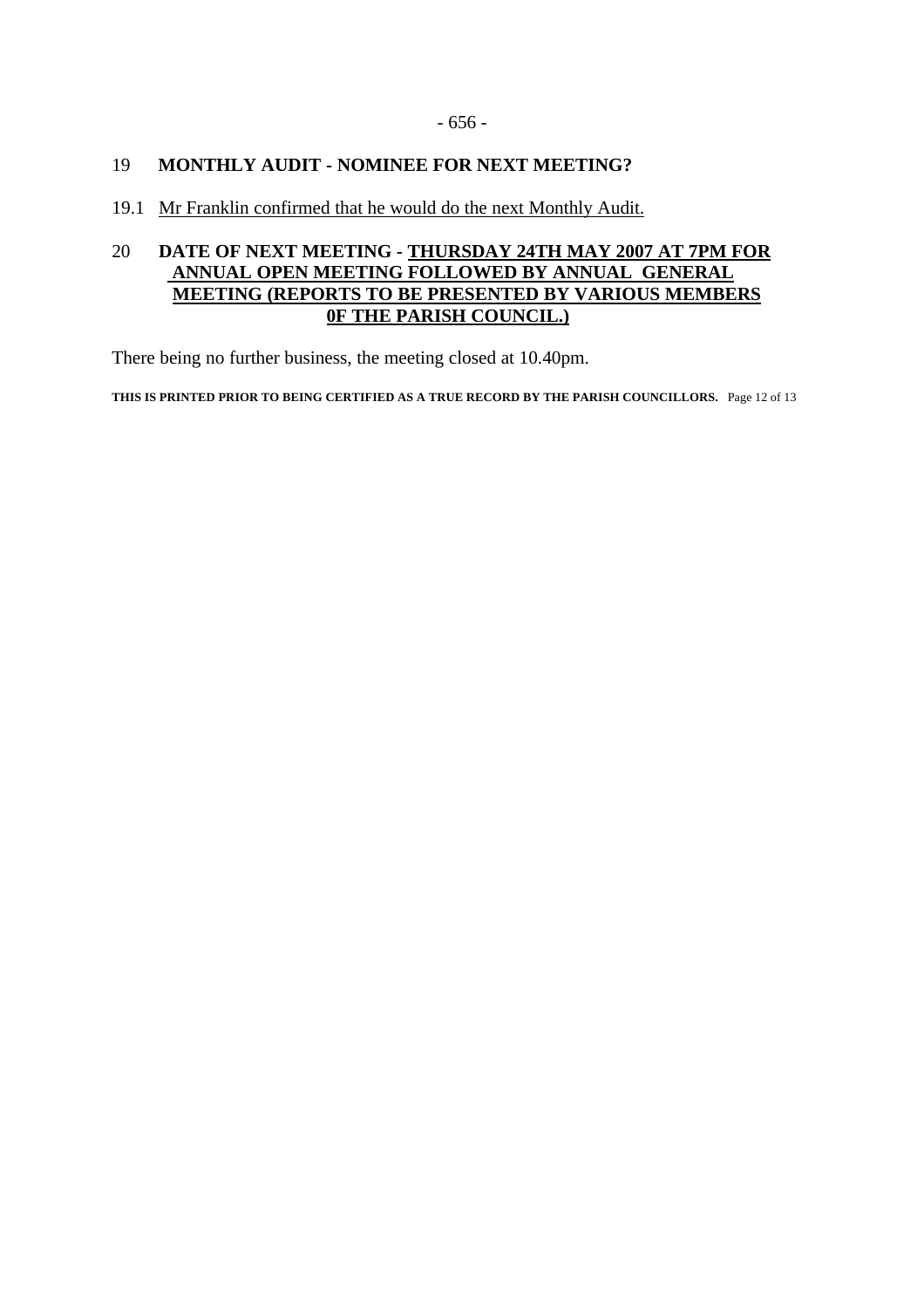### 19 **MONTHLY AUDIT - NOMINEE FOR NEXT MEETING?**

19.1 Mr Franklin confirmed that he would do the next Monthly Audit.

### 20 **DATE OF NEXT MEETING - THURSDAY 24TH MAY 2007 AT 7PM FOR ANNUAL OPEN MEETING FOLLOWED BY ANNUAL GENERAL MEETING (REPORTS TO BE PRESENTED BY VARIOUS MEMBERS 0F THE PARISH COUNCIL.)**

There being no further business, the meeting closed at 10.40pm.

**THIS IS PRINTED PRIOR TO BEING CERTIFIED AS A TRUE RECORD BY THE PARISH COUNCILLORS.** Page 12 of 13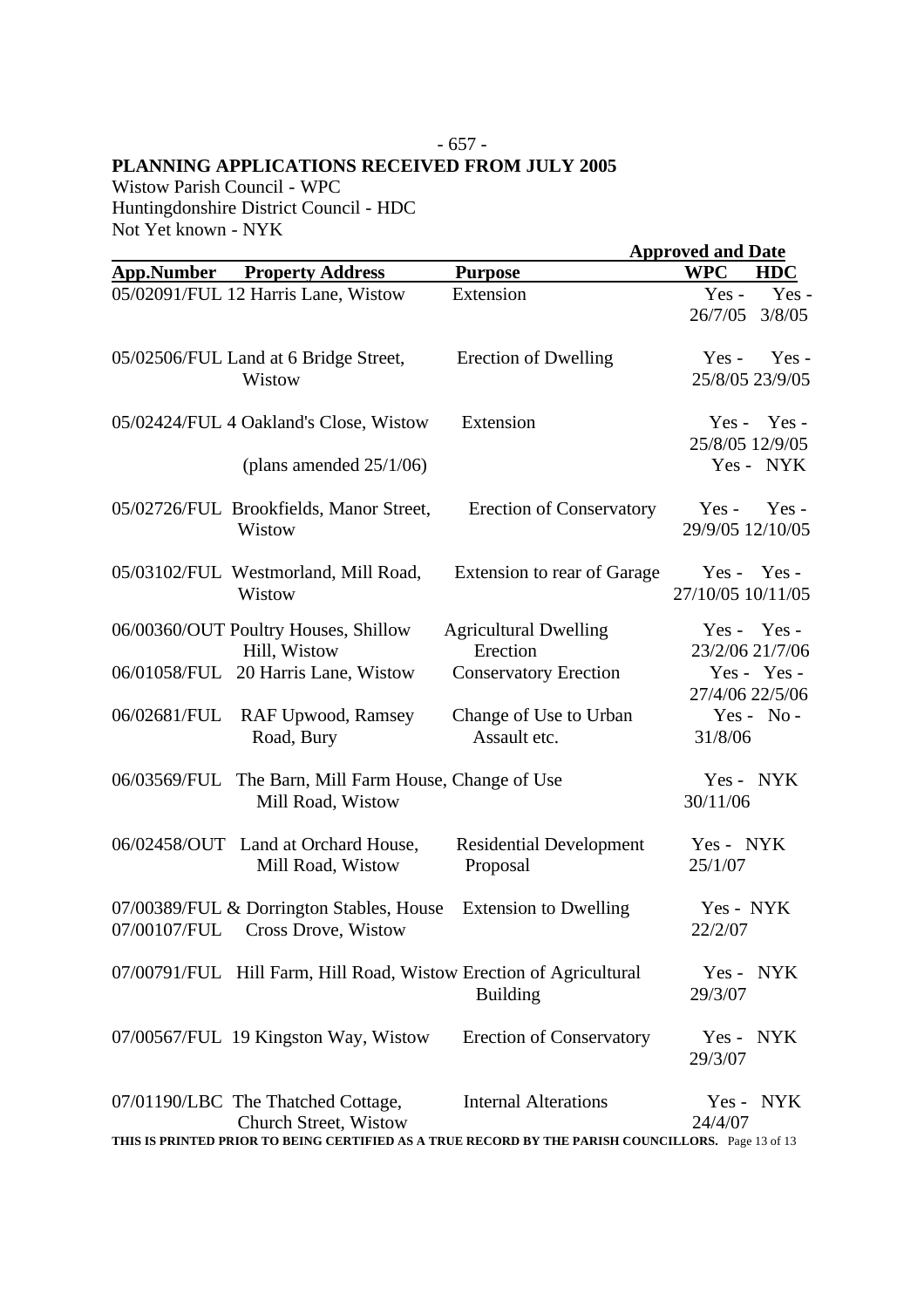# - 657 - **PLANNING APPLICATIONS RECEIVED FROM JULY 2005**

Wistow Parish Council - WPC Huntingdonshire District Council - HDC Not Yet known - NYK

|                   |                                                                              |                                                                                                    | <b>Approved and Date</b>    |                |
|-------------------|------------------------------------------------------------------------------|----------------------------------------------------------------------------------------------------|-----------------------------|----------------|
| <b>App.Number</b> | <b>Property Address</b>                                                      | <b>Purpose</b>                                                                                     | <b>WPC</b>                  | <b>HDC</b>     |
|                   | 05/02091/FUL 12 Harris Lane, Wistow                                          | Extension                                                                                          | $Yes -$<br>26/7/05          | Yes-<br>3/8/05 |
|                   | 05/02506/FUL Land at 6 Bridge Street,<br>Wistow                              | Erection of Dwelling                                                                               | $Yes -$<br>25/8/05 23/9/05  | $Yes -$        |
|                   | 05/02424/FUL 4 Oakland's Close, Wistow                                       | Extension                                                                                          | 25/8/05 12/9/05             | $Yes - Yes -$  |
|                   | (plans amended $25/1/06$ )                                                   |                                                                                                    |                             | Yes - NYK      |
|                   | 05/02726/FUL Brookfields, Manor Street,<br>Wistow                            | <b>Erection of Conservatory</b>                                                                    | $Yes -$<br>29/9/05 12/10/05 | $Yes -$        |
|                   | 05/03102/FUL Westmorland, Mill Road,<br>Wistow                               | Extension to rear of Garage                                                                        | 27/10/05 10/11/05           | $Yes - Yes -$  |
|                   | 06/00360/OUT Poultry Houses, Shillow<br>Hill, Wistow                         | <b>Agricultural Dwelling</b><br>Erection                                                           | 23/2/06 21/7/06             | $Yes - Yes -$  |
|                   | 06/01058/FUL 20 Harris Lane, Wistow                                          | <b>Conservatory Erection</b>                                                                       | 27/4/06 22/5/06             | Yes - Yes -    |
| 06/02681/FUL      | RAF Upwood, Ramsey<br>Road, Bury                                             | Change of Use to Urban<br>Assault etc.                                                             | 31/8/06                     | $Yes - No -$   |
| 06/03569/FUL      | The Barn, Mill Farm House, Change of Use<br>Mill Road, Wistow                |                                                                                                    | 30/11/06                    | Yes - NYK      |
|                   | 06/02458/OUT Land at Orchard House,<br>Mill Road, Wistow                     | <b>Residential Development</b><br>Proposal                                                         | Yes - NYK<br>25/1/07        |                |
|                   | 07/00389/FUL & Dorrington Stables, House<br>07/00107/FUL Cross Drove, Wistow | <b>Extension to Dwelling</b>                                                                       | Yes - NYK<br>22/2/07        |                |
|                   | 07/00791/FUL Hill Farm, Hill Road, Wistow Erection of Agricultural           | <b>Building</b>                                                                                    | Yes - NYK<br>29/3/07        |                |
|                   | 07/00567/FUL 19 Kingston Way, Wistow                                         | <b>Erection of Conservatory</b>                                                                    | $Yes -$<br>29/3/07          | NYK            |
|                   | 07/01190/LBC The Thatched Cottage,<br>Church Street, Wistow                  | <b>Internal Alterations</b>                                                                        | 24/4/07                     | Yes - NYK      |
|                   |                                                                              | THIS IS PRINTED PRIOR TO BEING CERTIFIED AS A TRUE RECORD BY THE PARISH COUNCILLORS. Page 13 of 13 |                             |                |